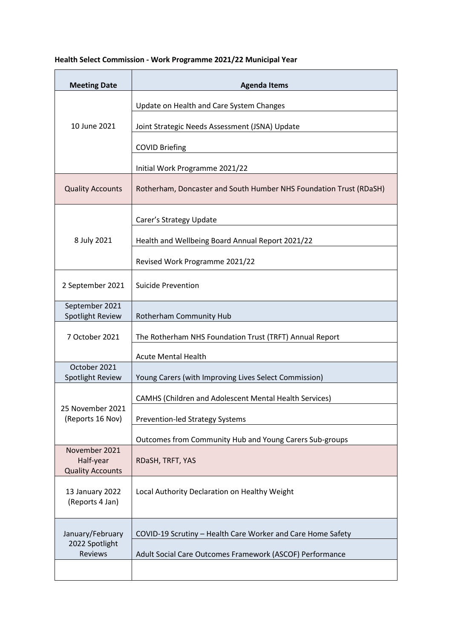## **Health Select Commission - Work Programme 2021/22 Municipal Year**

| <b>Meeting Date</b>                                   | <b>Agenda Items</b>                                                |
|-------------------------------------------------------|--------------------------------------------------------------------|
| 10 June 2021                                          | Update on Health and Care System Changes                           |
|                                                       | Joint Strategic Needs Assessment (JSNA) Update                     |
|                                                       | <b>COVID Briefing</b>                                              |
|                                                       | Initial Work Programme 2021/22                                     |
| <b>Quality Accounts</b>                               | Rotherham, Doncaster and South Humber NHS Foundation Trust (RDaSH) |
| 8 July 2021                                           | Carer's Strategy Update                                            |
|                                                       | Health and Wellbeing Board Annual Report 2021/22                   |
|                                                       | Revised Work Programme 2021/22                                     |
| 2 September 2021                                      | Suicide Prevention                                                 |
| September 2021<br>Spotlight Review                    | Rotherham Community Hub                                            |
| 7 October 2021                                        | The Rotherham NHS Foundation Trust (TRFT) Annual Report            |
|                                                       | <b>Acute Mental Health</b>                                         |
| October 2021<br>Spotlight Review                      | Young Carers (with Improving Lives Select Commission)              |
| 25 November 2021<br>(Reports 16 Nov)                  | <b>CAMHS (Children and Adolescent Mental Health Services)</b>      |
|                                                       | <b>Prevention-led Strategy Systems</b>                             |
|                                                       | Outcomes from Community Hub and Young Carers Sub-groups            |
| November 2021<br>Half-year<br><b>Quality Accounts</b> | RDaSH, TRFT, YAS                                                   |
| 13 January 2022<br>(Reports 4 Jan)                    | Local Authority Declaration on Healthy Weight                      |
| January/February<br>2022 Spotlight<br><b>Reviews</b>  | COVID-19 Scrutiny - Health Care Worker and Care Home Safety        |
|                                                       | Adult Social Care Outcomes Framework (ASCOF) Performance           |
|                                                       |                                                                    |